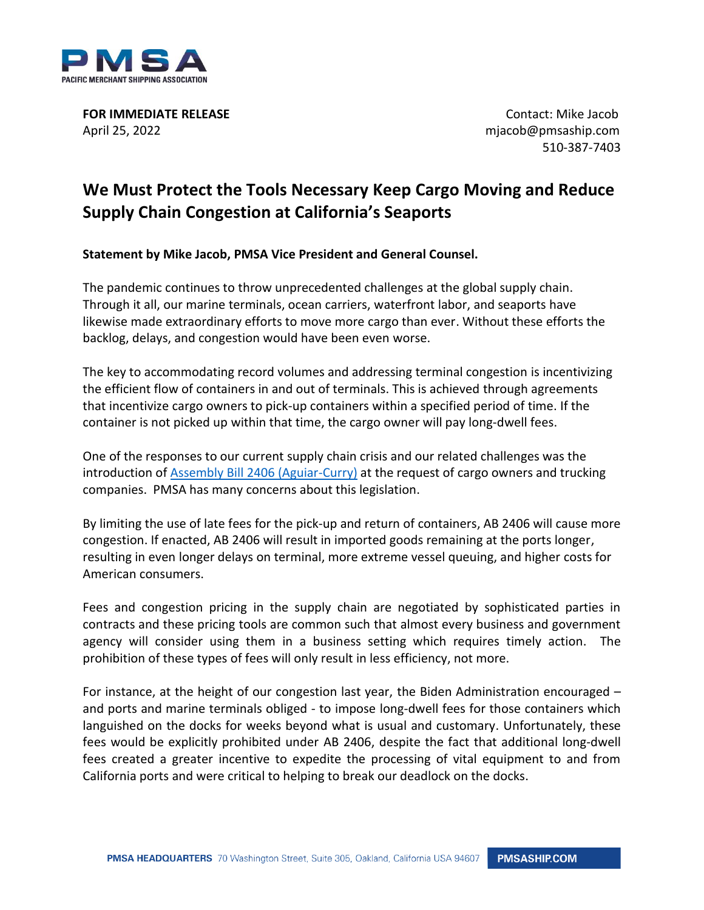

**FOR IMMEDIATE RELEASE CONTACT IN EXAMPLE ASSESSED ASSOCIATE CONTACT IN EXAMPLE ASSESSED ASSOCIATE CONTACT IN EXAMPLE ASSOCIATE CONTACT IN EXAMPLE ASSOCIATE CONTACT IN EXAMPLE ASSOCIATE CONTACT IN EXAMPLE ASSOC** April 25, 2022 mjacob@pmsaship.com

510-387-7403

## **We Must Protect the Tools Necessary Keep Cargo Moving and Reduce Supply Chain Congestion at California's Seaports**

**Statement by Mike Jacob, PMSA Vice President and General Counsel.**

The pandemic continues to throw unprecedented challenges at the global supply chain. Through it all, our marine terminals, ocean carriers, waterfront labor, and seaports have likewise made extraordinary efforts to move more cargo than ever. Without these efforts the backlog, delays, and congestion would have been even worse.

The key to accommodating record volumes and addressing terminal congestion is incentivizing the efficient flow of containers in and out of terminals. This is achieved through agreements that incentivize cargo owners to pick-up containers within a specified period of time. If the container is not picked up within that time, the cargo owner will pay long-dwell fees.

One of the responses to our current supply chain crisis and our related challenges was the introduction of **Assembly Bill 2406 (Aguiar-Curry)** at the request of cargo owners and trucking companies. PMSA has many concerns about this legislation.

By limiting the use of late fees for the pick-up and return of containers, AB 2406 will cause more congestion. If enacted, AB 2406 will result in imported goods remaining at the ports longer, resulting in even longer delays on terminal, more extreme vessel queuing, and higher costs for American consumers.

Fees and congestion pricing in the supply chain are negotiated by sophisticated parties in contracts and these pricing tools are common such that almost every business and government agency will consider using them in a business setting which requires timely action. The prohibition of these types of fees will only result in less efficiency, not more.

For instance, at the height of our congestion last year, the Biden Administration encouraged – and ports and marine terminals obliged - to impose long-dwell fees for those containers which languished on the docks for weeks beyond what is usual and customary. Unfortunately, these fees would be explicitly prohibited under AB 2406, despite the fact that additional long-dwell fees created a greater incentive to expedite the processing of vital equipment to and from California ports and were critical to helping to break our deadlock on the docks.